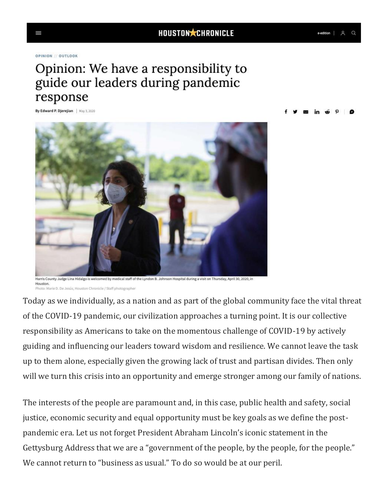## Opinion: We have a responsibility to guide our leaders during pandemic response

By Edward P. Djerejian | May 3, 2020



Harris County Judge Lina Hidalgo is welcomed by medical staff of the Lyndon B. Johnson Hospital during a visit on Thursday, April 30, 2020, in Houston. Photo: Marie D. De Jesús, Houston Chronicle / Staff photographer

Today as we individually, as a nation and as part of the global community face the vital threat of the COVID-19 pandemic, our civilization approaches a turning point. It is our collective responsibility as Americans to take on the momentous challenge of COVID-19 by actively guiding and influencing our leaders toward wisdom and resilience. We cannot leave the task up to them alone, especially given the growing lack of trust and partisan divides. Then only will we turn this crisis into an opportunity and emerge stronger among our family of nations.

The interests of the people are paramount and, in this case, public health and safety, social justice, economic security and equal opportunity must be key goals as we define the postpandemic era. Let us not forget President Abraham Lincoln's iconic statement in the Gettysburg Address that we are a "government of the people, by the people, for the people." We cannot return to "business as usual." To do so would be at our peril.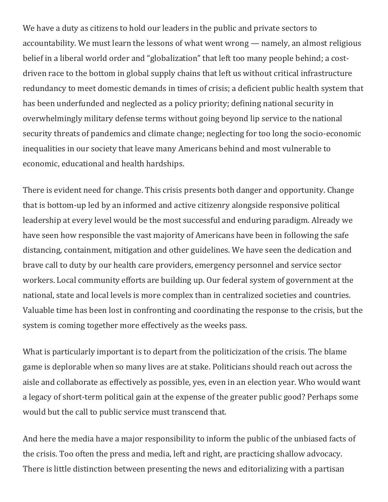We have a duty as citizens to hold our leaders in the public and private sectors to accountability. We must learn the lessons of what went wrong — namely, an almost religious belief in a liberal world order and "globalization" that left too many people behind; a costdriven race to the bottom in global supply chains that left us without critical infrastructure redundancy to meet domestic demands in times of crisis; a deficient public health system that has been underfunded and neglected as a policy priority; defining national security in overwhelmingly military defense terms without going beyond lip service to the national security threats of pandemics and climate change; neglecting for too long the socio-economic inequalities in our society that leave many Americans behind and most vulnerable to economic, educational and health hardships.

There is evident need for change. This crisis presents both danger and opportunity. Change that is bottom-up led by an informed and active citizenry alongside responsive political leadership at every level would be the most successful and enduring paradigm. Already we have seen how responsible the vast majority of Americans have been in following the safe distancing, containment, mitigation and other guidelines. We have seen the dedication and brave call to duty by our health care providers, emergency personnel and service sector workers. Local community efforts are building up. Our federal system of government at the national, state and local levels is more complex than in centralized societies and countries. Valuable time has been lost in confronting and coordinating the response to the crisis, but the system is coming together more effectively as the weeks pass.

What is particularly important is to depart from the politicization of the crisis. The blame game is deplorable when so many lives are at stake. Politicians should reach out across the aisle and collaborate as effectively as possible, yes, even in an election year. Who would want a legacy of short-term political gain at the expense of the greater public good? Perhaps some would but the call to public service must transcend that.

And here the media have a major responsibility to inform the public of the unbiased facts of the crisis. Too often the press and media, left and right, are practicing shallow advocacy. There is little distinction between presenting the news and editorializing with a partisan